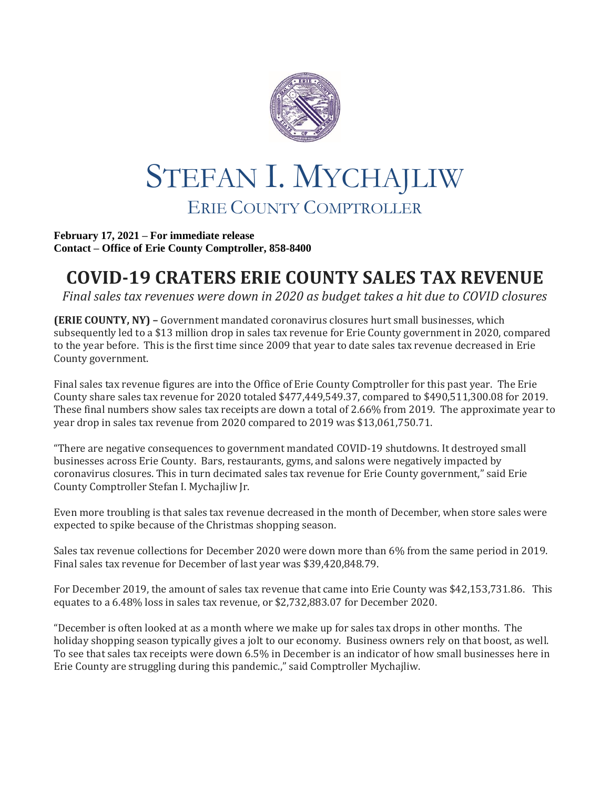

## STEFAN I. MYCHAJLIW ERIE COUNTY COMPTROLLER

**February 17, 2021 – For immediate release Contact – Office of Erie County Comptroller, 858-8400**

## **COVID-19 CRATERS ERIE COUNTY SALES TAX REVENUE**

*Final sales tax revenues were down in 2020 as budget takes a hit due to COVID closures*

**(ERIE COUNTY, NY) –** Government mandated coronavirus closures hurt small businesses, which subsequently led to a \$13 million drop in sales tax revenue for Erie County government in 2020, compared to the year before. This is the first time since 2009 that year to date sales tax revenue decreased in Erie County government.

Final sales tax revenue figures are into the Office of Erie County Comptroller for this past year. The Erie County share sales tax revenue for 2020 totaled \$477,449,549.37, compared to \$490,511,300.08 for 2019. These final numbers show sales tax receipts are down a total of 2.66% from 2019. The approximate year to year drop in sales tax revenue from 2020 compared to 2019 was \$13,061,750.71.

"There are negative consequences to government mandated COVID-19 shutdowns. It destroyed small businesses across Erie County. Bars, restaurants, gyms, and salons were negatively impacted by coronavirus closures. This in turn decimated sales tax revenue for Erie County government," said Erie County Comptroller Stefan I. Mychajliw Jr.

Even more troubling is that sales tax revenue decreased in the month of December, when store sales were expected to spike because of the Christmas shopping season.

Sales tax revenue collections for December 2020 were down more than 6% from the same period in 2019. Final sales tax revenue for December of last year was \$39,420,848.79.

For December 2019, the amount of sales tax revenue that came into Erie County was \$42,153,731.86. This equates to a 6.48% loss in sales tax revenue, or \$2,732,883.07 for December 2020.

"December is often looked at as a month where we make up for sales tax drops in other months. The holiday shopping season typically gives a jolt to our economy. Business owners rely on that boost, as well. To see that sales tax receipts were down 6.5% in December is an indicator of how small businesses here in Erie County are struggling during this pandemic.," said Comptroller Mychajliw.